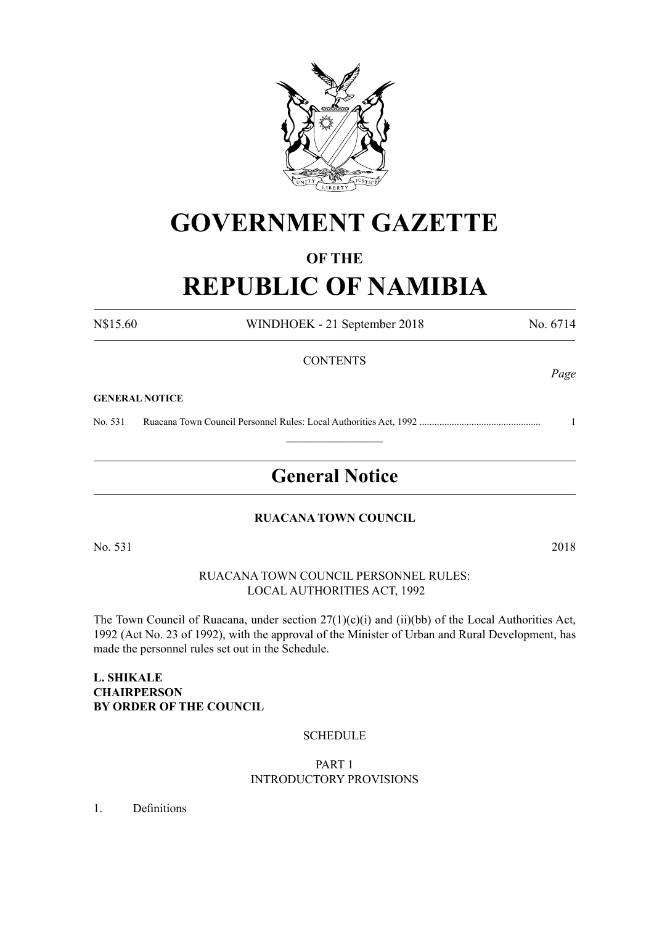

# **GOVERNMENT GAZETTE**

# **OF THE**

# **REPUBLIC OF NAMIBIA**

N\$15.60 WINDHOEK - 21 September 2018 No. 6714 **CONTENTS** 

#### **GENERAL NOTICE**

No. 531 Ruacana Town Council Personnel Rules: Local Authorities Act, 1992 ................................................. 1  $\frac{1}{2}$ 

# **General Notice**

#### **RUACANA TOWN COUNCIL**

No. 531 2018

RUACANA TOWN COUNCIL PERSONNEL RULES: LOCAL AUTHORITIES ACT, 1992

The Town Council of Ruacana, under section 27(1)(c)(i) and (ii)(bb) of the Local Authorities Act, 1992 (Act No. 23 of 1992), with the approval of the Minister of Urban and Rural Development, has made the personnel rules set out in the Schedule.

# **L. SHIKALE CHAIRPERSON BY ORDER OF THE COUNCIL**

#### **SCHEDULE**

#### PART 1 INTRODUCTORY PROVISIONS

1. Definitions

*Page*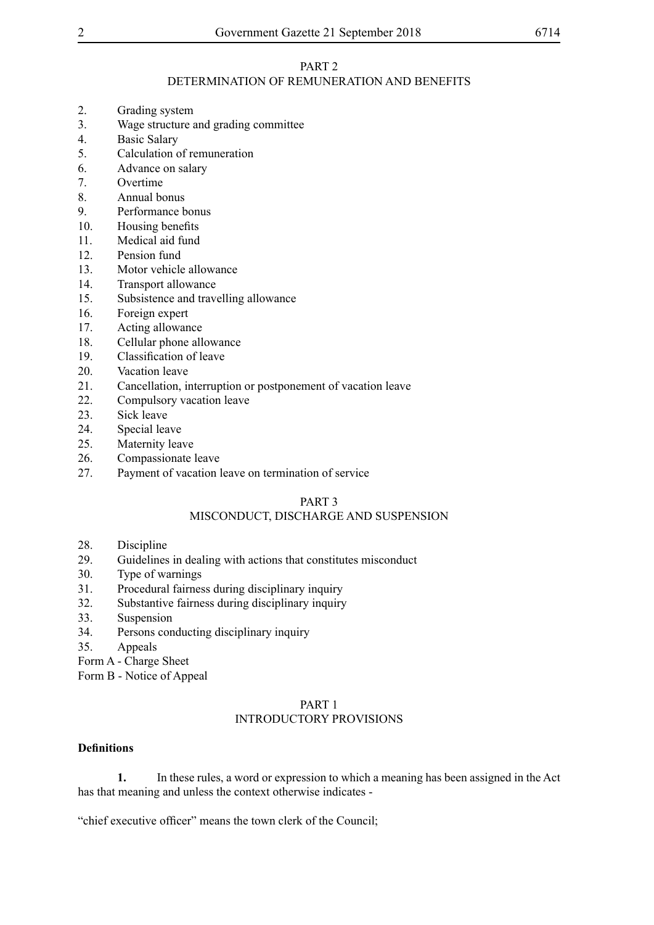# DETERMINATION OF REMUNERATION AND BENEFITS

- 2. Grading system
- 3. Wage structure and grading committee
- 4. Basic Salary<br>5 Calculation of
- Calculation of remuneration
- 6. Advance on salary
- 7. Overtime
- 8. Annual bonus
- 9. Performance bonus
- 10. Housing benefits
- 11. Medical aid fund
- 12. Pension fund
- 13. Motor vehicle allowance
- 14. Transport allowance
- 15. Subsistence and travelling allowance
- 16. Foreign expert
- 17. Acting allowance
- 18. Cellular phone allowance
- 19. Classification of leave
- 20. Vacation leave
- 21. Cancellation, interruption or postponement of vacation leave
- 22. Compulsory vacation leave
- 23. Sick leave
- 24. Special leave
- 25. Maternity leave
- 26. Compassionate leave
- 27. Payment of vacation leave on termination of service

# PART 3

# MISCONDUCT, DISCHARGE AND SUSPENSION

- 28. Discipline<br>29. Guidelines
- Guidelines in dealing with actions that constitutes misconduct
- 30. Type of warnings
- 31. Procedural fairness during disciplinary inquiry
- 32. Substantive fairness during disciplinary inquiry
- 33. Suspension
- 34. Persons conducting disciplinary inquiry
- 35. Appeals

Form A - Charge Sheet

Form B - Notice of Appeal

# PART 1 INTRODUCTORY PROVISIONS

#### **Definitions**

**1.** In these rules, a word or expression to which a meaning has been assigned in the Act has that meaning and unless the context otherwise indicates -

"chief executive officer" means the town clerk of the Council;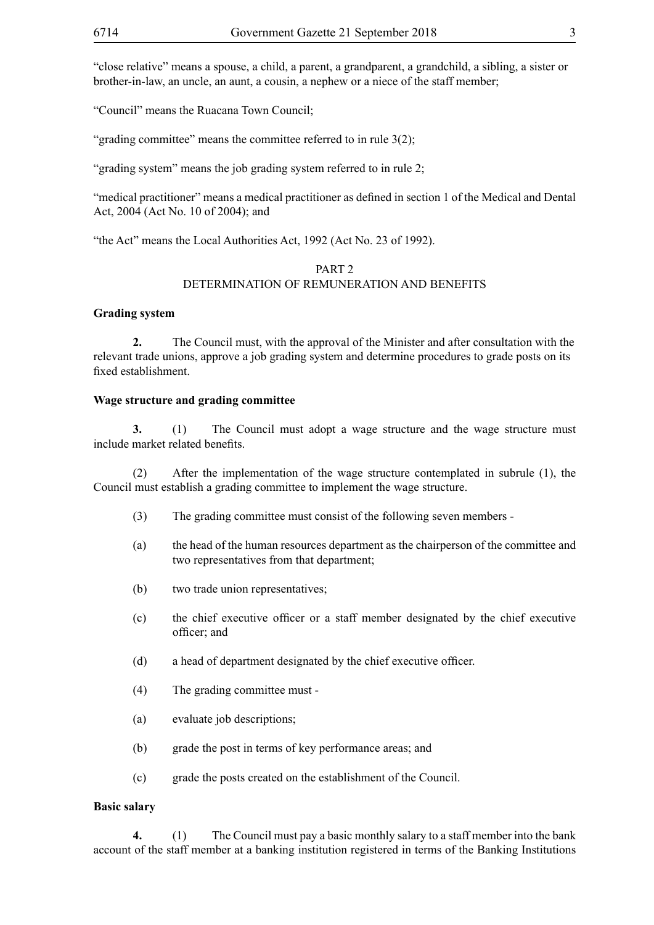"close relative" means a spouse, a child, a parent, a grandparent, a grandchild, a sibling, a sister or brother-in-law, an uncle, an aunt, a cousin, a nephew or a niece of the staff member;

"Council" means the Ruacana Town Council;

"grading committee" means the committee referred to in rule 3(2);

"grading system" means the job grading system referred to in rule 2;

"medical practitioner" means a medical practitioner as defined in section 1 of the Medical and Dental Act, 2004 (Act No. 10 of 2004); and

"the Act" means the Local Authorities Act, 1992 (Act No. 23 of 1992).

# PART<sub>2</sub> DETERMINATION OF REMUNERATION AND BENEFITS

#### **Grading system**

**2.** The Council must, with the approval of the Minister and after consultation with the relevant trade unions, approve a job grading system and determine procedures to grade posts on its fixed establishment.

#### **Wage structure and grading committee**

**3.** (1) The Council must adopt a wage structure and the wage structure must include market related benefits.

(2) After the implementation of the wage structure contemplated in subrule (1), the Council must establish a grading committee to implement the wage structure.

- (3) The grading committee must consist of the following seven members -
- (a) the head of the human resources department as the chairperson of the committee and two representatives from that department;
- (b) two trade union representatives;
- (c) the chief executive officer or a staff member designated by the chief executive officer; and
- (d) a head of department designated by the chief executive officer.
- (4) The grading committee must -
- (a) evaluate job descriptions;
- (b) grade the post in terms of key performance areas; and
- (c) grade the posts created on the establishment of the Council.

#### **Basic salary**

**4.** (1) The Council must pay a basic monthly salary to a staff member into the bank account of the staff member at a banking institution registered in terms of the Banking Institutions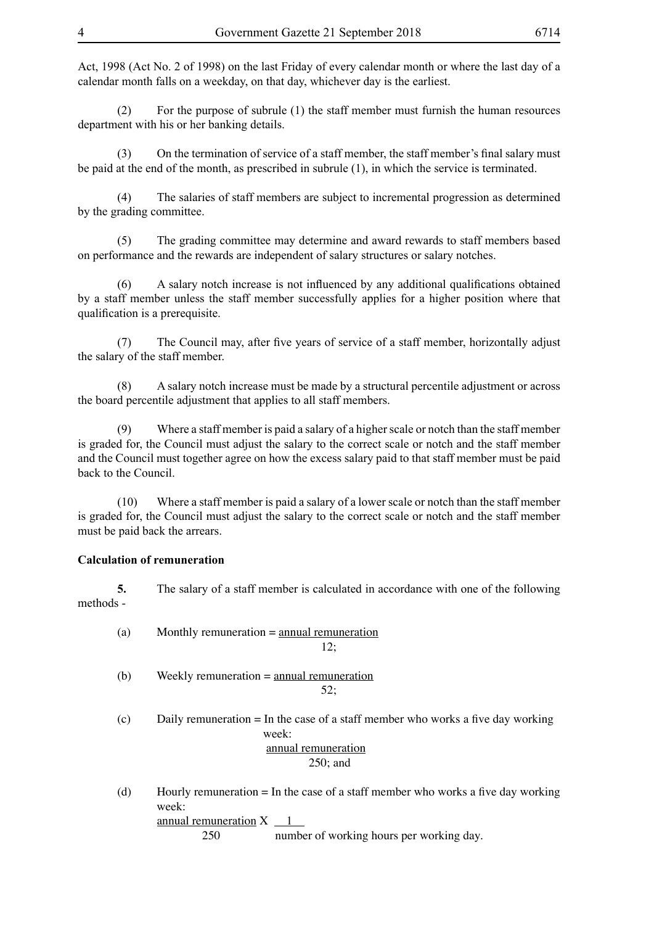Act, 1998 (Act No. 2 of 1998) on the last Friday of every calendar month or where the last day of a calendar month falls on a weekday, on that day, whichever day is the earliest.

(2) For the purpose of subrule (1) the staff member must furnish the human resources department with his or her banking details.

(3) On the termination of service of a staff member, the staff member's final salary must be paid at the end of the month, as prescribed in subrule (1), in which the service is terminated.

 (4) The salaries of staff members are subject to incremental progression as determined by the grading committee.

(5) The grading committee may determine and award rewards to staff members based on performance and the rewards are independent of salary structures or salary notches.

 (6) A salary notch increase is not influenced by any additional qualifications obtained by a staff member unless the staff member successfully applies for a higher position where that qualification is a prerequisite.

 (7) The Council may, after five years of service of a staff member, horizontally adjust the salary of the staff member.

 (8) A salary notch increase must be made by a structural percentile adjustment or across the board percentile adjustment that applies to all staff members.

(9) Where a staff member is paid a salary of a higher scale or notch than the staff member is graded for, the Council must adjust the salary to the correct scale or notch and the staff member and the Council must together agree on how the excess salary paid to that staff member must be paid back to the Council.

(10) Where a staff member is paid a salary of a lower scale or notch than the staff member is graded for, the Council must adjust the salary to the correct scale or notch and the staff member must be paid back the arrears.

#### **Calculation of remuneration**

**5.** The salary of a staff member is calculated in accordance with one of the following methods -

| (a) | Monthly remuneration $=$ annual remuneration<br>12;                                                                              |
|-----|----------------------------------------------------------------------------------------------------------------------------------|
| (b) | Weekly remuneration $=$ annual remuneration<br>52:                                                                               |
| (c) | Daily remuneration $=$ In the case of a staff member who works a five day working<br>week:<br>annual remuneration<br>$250$ ; and |
| (d) | Hourly remuneration $=$ In the case of a staff member who works a five day working<br>week:<br>annual remuneration $X \_1$       |

 250 number of working hours per working day.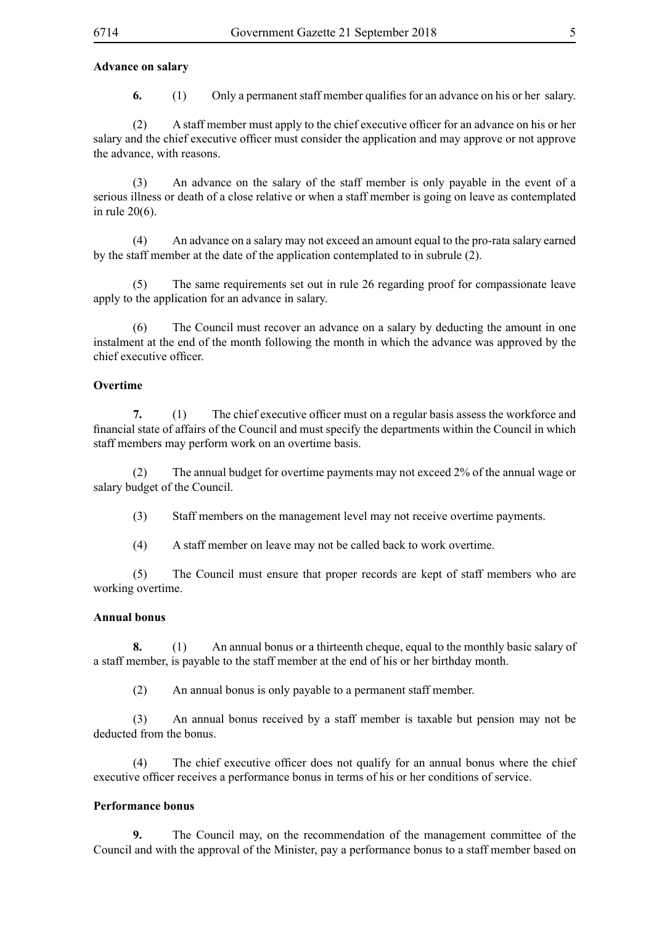#### **Advance on salary**

**6.** (1) Only a permanent staff member qualifies for an advance on his or her salary.

 (2) A staff member must apply to the chief executive officer for an advance on his or her salary and the chief executive officer must consider the application and may approve or not approve the advance, with reasons.

(3) An advance on the salary of the staff member is only payable in the event of a serious illness or death of a close relative or when a staff member is going on leave as contemplated in rule 20(6).

(4) An advance on a salary may not exceed an amount equal to the pro-rata salary earned by the staff member at the date of the application contemplated to in subrule (2).

(5) The same requirements set out in rule 26 regarding proof for compassionate leave apply to the application for an advance in salary.

(6) The Council must recover an advance on a salary by deducting the amount in one instalment at the end of the month following the month in which the advance was approved by the chief executive officer.

#### **Overtime**

**7.** (1) The chief executive officer must on a regular basis assess the workforce and financial state of affairs of the Council and must specify the departments within the Council in which staff members may perform work on an overtime basis.

(2) The annual budget for overtime payments may not exceed 2% of the annual wage or salary budget of the Council.

(3) Staff members on the management level may not receive overtime payments.

(4) A staff member on leave may not be called back to work overtime.

(5) The Council must ensure that proper records are kept of staff members who are working overtime.

#### **Annual bonus**

**8.** (1) An annual bonus or a thirteenth cheque, equal to the monthly basic salary of a staff member, is payable to the staff member at the end of his or her birthday month.

(2) An annual bonus is only payable to a permanent staff member.

(3) An annual bonus received by a staff member is taxable but pension may not be deducted from the bonus.

(4) The chief executive officer does not qualify for an annual bonus where the chief executive officer receives a performance bonus in terms of his or her conditions of service.

#### **Performance bonus**

**9.** The Council may, on the recommendation of the management committee of the Council and with the approval of the Minister, pay a performance bonus to a staff member based on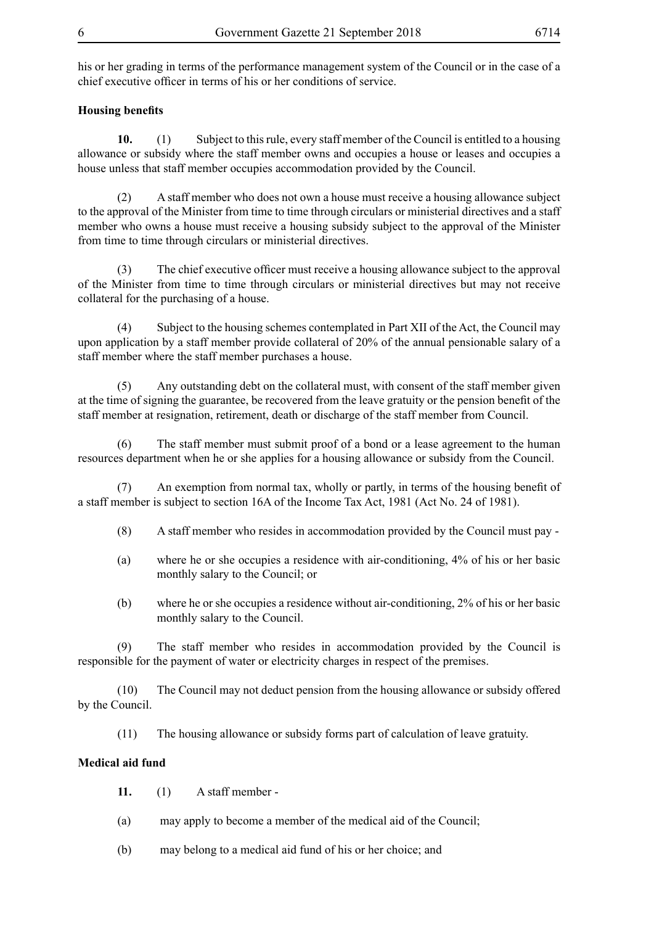his or her grading in terms of the performance management system of the Council or in the case of a chief executive officer in terms of his or her conditions of service.

#### **Housing benefits**

**10.** (1) Subject to this rule, every staff member of the Council is entitled to a housing allowance or subsidy where the staff member owns and occupies a house or leases and occupies a house unless that staff member occupies accommodation provided by the Council.

 (2) A staff member who does not own a house must receive a housing allowance subject to the approval of the Minister from time to time through circulars or ministerial directives and a staff member who owns a house must receive a housing subsidy subject to the approval of the Minister from time to time through circulars or ministerial directives.

(3) The chief executive officer must receive a housing allowance subject to the approval of the Minister from time to time through circulars or ministerial directives but may not receive collateral for the purchasing of a house.

 (4) Subject to the housing schemes contemplated in Part XII of the Act, the Council may upon application by a staff member provide collateral of 20% of the annual pensionable salary of a staff member where the staff member purchases a house.

(5) Any outstanding debt on the collateral must, with consent of the staff member given at the time of signing the guarantee, be recovered from the leave gratuity or the pension benefit of the staff member at resignation, retirement, death or discharge of the staff member from Council.

(6) The staff member must submit proof of a bond or a lease agreement to the human resources department when he or she applies for a housing allowance or subsidy from the Council.

 (7) An exemption from normal tax, wholly or partly, in terms of the housing benefit of a staff member is subject to section 16A of the Income Tax Act, 1981 (Act No. 24 of 1981).

- (8) A staff member who resides in accommodation provided by the Council must pay -
- (a) where he or she occupies a residence with air-conditioning, 4% of his or her basic monthly salary to the Council; or
- (b) where he or she occupies a residence without air-conditioning, 2% of his or her basic monthly salary to the Council.

(9) The staff member who resides in accommodation provided by the Council is responsible for the payment of water or electricity charges in respect of the premises.

(10) The Council may not deduct pension from the housing allowance or subsidy offered by the Council.

(11) The housing allowance or subsidy forms part of calculation of leave gratuity.

#### **Medical aid fund**

**11.** (1) A staff member -

- (a) may apply to become a member of the medical aid of the Council;
- (b) may belong to a medical aid fund of his or her choice; and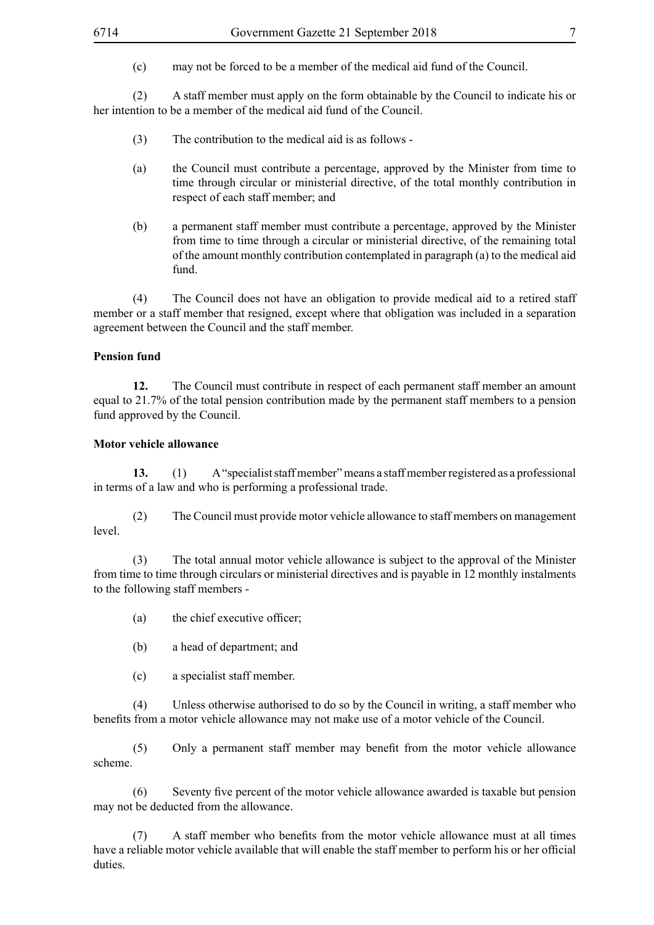(c) may not be forced to be a member of the medical aid fund of the Council.

(2) A staff member must apply on the form obtainable by the Council to indicate his or her intention to be a member of the medical aid fund of the Council.

- (3) The contribution to the medical aid is as follows -
- (a) the Council must contribute a percentage, approved by the Minister from time to time through circular or ministerial directive, of the total monthly contribution in respect of each staff member; and
- (b) a permanent staff member must contribute a percentage, approved by the Minister from time to time through a circular or ministerial directive, of the remaining total of the amount monthly contribution contemplated in paragraph (a) to the medical aid fund.

(4) The Council does not have an obligation to provide medical aid to a retired staff member or a staff member that resigned, except where that obligation was included in a separation agreement between the Council and the staff member.

# **Pension fund**

**12.** The Council must contribute in respect of each permanent staff member an amount equal to 21.7% of the total pension contribution made by the permanent staff members to a pension fund approved by the Council.

#### **Motor vehicle allowance**

**13.** (1) A "specialist staff member" means a staff member registered as a professional in terms of a law and who is performing a professional trade.

(2) The Council must provide motor vehicle allowance to staff members on management level.

 (3) The total annual motor vehicle allowance is subject to the approval of the Minister from time to time through circulars or ministerial directives and is payable in 12 monthly instalments to the following staff members -

- (a) the chief executive officer;
- (b) a head of department; and
- (c) a specialist staff member.

(4) Unless otherwise authorised to do so by the Council in writing, a staff member who benefits from a motor vehicle allowance may not make use of a motor vehicle of the Council.

 (5) Only a permanent staff member may benefit from the motor vehicle allowance scheme.

 (6) Seventy five percent of the motor vehicle allowance awarded is taxable but pension may not be deducted from the allowance.

 (7) A staff member who benefits from the motor vehicle allowance must at all times have a reliable motor vehicle available that will enable the staff member to perform his or her official duties.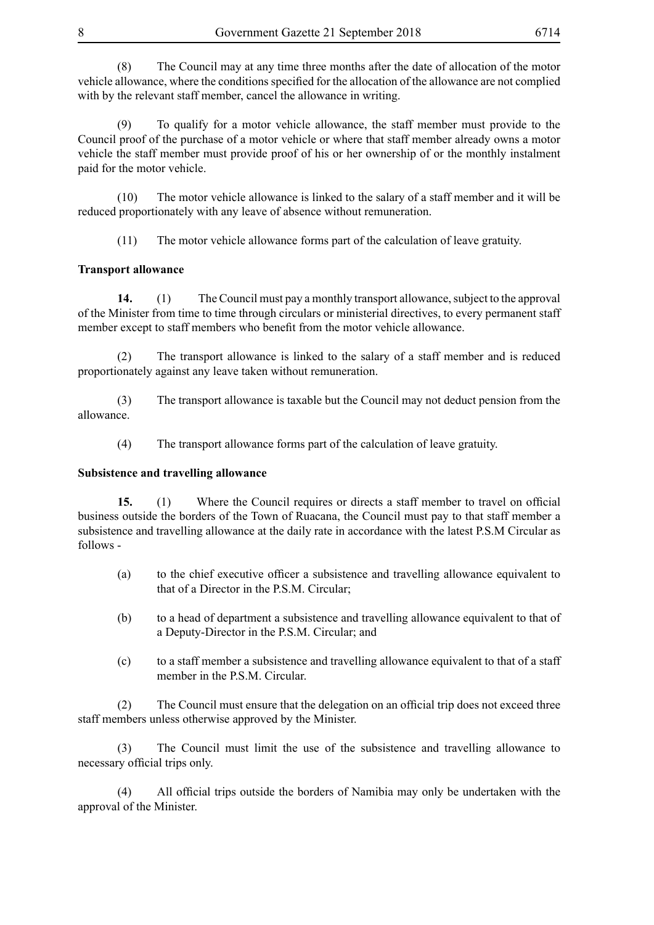(8) The Council may at any time three months after the date of allocation of the motor vehicle allowance, where the conditions specified for the allocation of the allowance are not complied with by the relevant staff member, cancel the allowance in writing.

(9) To qualify for a motor vehicle allowance, the staff member must provide to the Council proof of the purchase of a motor vehicle or where that staff member already owns a motor vehicle the staff member must provide proof of his or her ownership of or the monthly instalment paid for the motor vehicle.

(10) The motor vehicle allowance is linked to the salary of a staff member and it will be reduced proportionately with any leave of absence without remuneration.

(11) The motor vehicle allowance forms part of the calculation of leave gratuity.

# **Transport allowance**

**14.** (1) The Council must pay a monthly transport allowance, subject to the approval of the Minister from time to time through circulars or ministerial directives, to every permanent staff member except to staff members who benefit from the motor vehicle allowance.

(2) The transport allowance is linked to the salary of a staff member and is reduced proportionately against any leave taken without remuneration.

(3) The transport allowance is taxable but the Council may not deduct pension from the allowance.

(4) The transport allowance forms part of the calculation of leave gratuity.

#### **Subsistence and travelling allowance**

**15.** (1) Where the Council requires or directs a staff member to travel on official business outside the borders of the Town of Ruacana, the Council must pay to that staff member a subsistence and travelling allowance at the daily rate in accordance with the latest P.S.M Circular as follows -

- (a) to the chief executive officer a subsistence and travelling allowance equivalent to that of a Director in the P.S.M. Circular;
- (b) to a head of department a subsistence and travelling allowance equivalent to that of a Deputy-Director in the P.S.M. Circular; and
- (c) to a staff member a subsistence and travelling allowance equivalent to that of a staff member in the P.S.M. Circular.

 (2) The Council must ensure that the delegation on an official trip does not exceed three staff members unless otherwise approved by the Minister.

(3) The Council must limit the use of the subsistence and travelling allowance to necessary official trips only.

 (4) All official trips outside the borders of Namibia may only be undertaken with the approval of the Minister.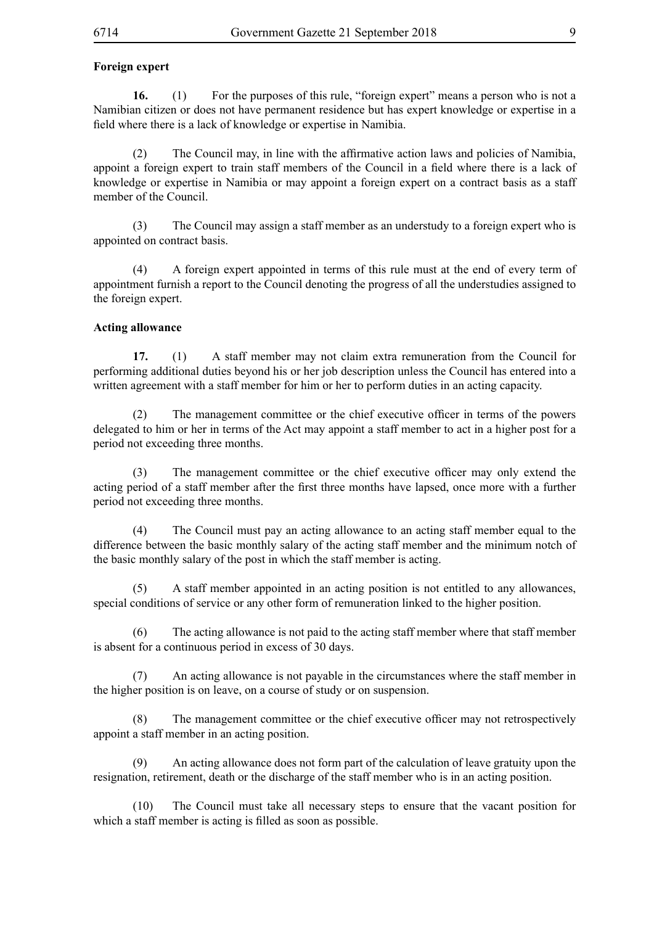#### **Foreign expert**

**16.** (1) For the purposes of this rule, "foreign expert" means a person who is not a Namibian citizen or does not have permanent residence but has expert knowledge or expertise in a field where there is a lack of knowledge or expertise in Namibia.

 (2) The Council may, in line with the affirmative action laws and policies of Namibia, appoint a foreign expert to train staff members of the Council in a field where there is a lack of knowledge or expertise in Namibia or may appoint a foreign expert on a contract basis as a staff member of the Council.

(3) The Council may assign a staff member as an understudy to a foreign expert who is appointed on contract basis.

(4) A foreign expert appointed in terms of this rule must at the end of every term of appointment furnish a report to the Council denoting the progress of all the understudies assigned to the foreign expert.

#### **Acting allowance**

**17.** (1) A staff member may not claim extra remuneration from the Council for performing additional duties beyond his or her job description unless the Council has entered into a written agreement with a staff member for him or her to perform duties in an acting capacity.

(2) The management committee or the chief executive officer in terms of the powers delegated to him or her in terms of the Act may appoint a staff member to act in a higher post for a period not exceeding three months.

(3) The management committee or the chief executive officer may only extend the acting period of a staff member after the first three months have lapsed, once more with a further period not exceeding three months.

(4) The Council must pay an acting allowance to an acting staff member equal to the difference between the basic monthly salary of the acting staff member and the minimum notch of the basic monthly salary of the post in which the staff member is acting.

(5) A staff member appointed in an acting position is not entitled to any allowances, special conditions of service or any other form of remuneration linked to the higher position.

(6) The acting allowance is not paid to the acting staff member where that staff member is absent for a continuous period in excess of 30 days.

(7) An acting allowance is not payable in the circumstances where the staff member in the higher position is on leave, on a course of study or on suspension.

 (8) The management committee or the chief executive officer may not retrospectively appoint a staff member in an acting position.

(9) An acting allowance does not form part of the calculation of leave gratuity upon the resignation, retirement, death or the discharge of the staff member who is in an acting position.

(10) The Council must take all necessary steps to ensure that the vacant position for which a staff member is acting is filled as soon as possible.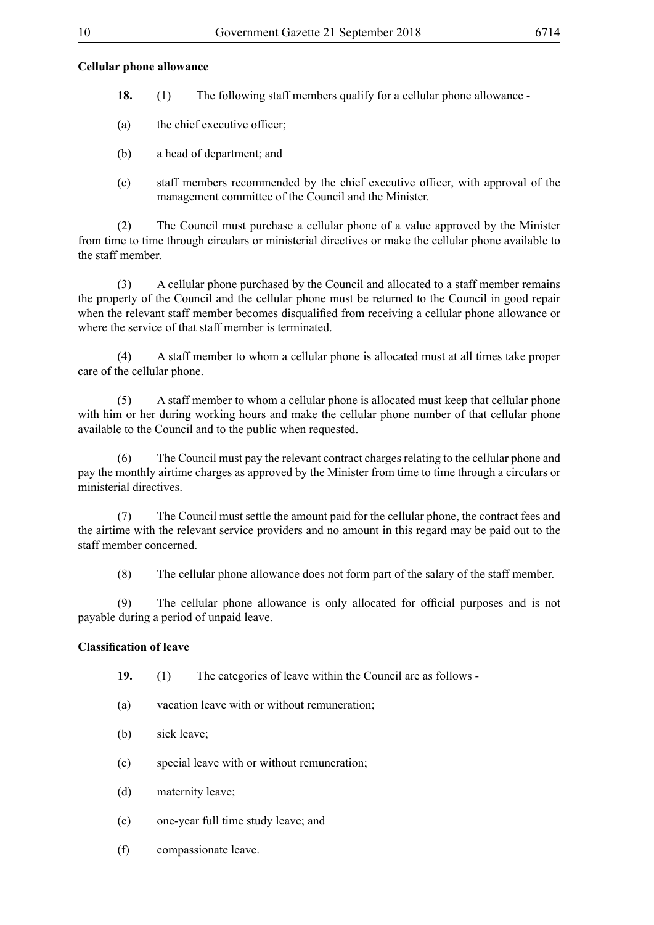#### **Cellular phone allowance**

- **18.** (1) The following staff members qualify for a cellular phone allowance -
- (a) the chief executive officer;
- (b) a head of department; and
- (c) staff members recommended by the chief executive officer, with approval of the management committee of the Council and the Minister.

(2) The Council must purchase a cellular phone of a value approved by the Minister from time to time through circulars or ministerial directives or make the cellular phone available to the staff member.

(3) A cellular phone purchased by the Council and allocated to a staff member remains the property of the Council and the cellular phone must be returned to the Council in good repair when the relevant staff member becomes disqualified from receiving a cellular phone allowance or where the service of that staff member is terminated.

(4) A staff member to whom a cellular phone is allocated must at all times take proper care of the cellular phone.

(5) A staff member to whom a cellular phone is allocated must keep that cellular phone with him or her during working hours and make the cellular phone number of that cellular phone available to the Council and to the public when requested.

(6) The Council must pay the relevant contract charges relating to the cellular phone and pay the monthly airtime charges as approved by the Minister from time to time through a circulars or ministerial directives.

(7) The Council must settle the amount paid for the cellular phone, the contract fees and the airtime with the relevant service providers and no amount in this regard may be paid out to the staff member concerned.

(8) The cellular phone allowance does not form part of the salary of the staff member.

 (9) The cellular phone allowance is only allocated for official purposes and is not payable during a period of unpaid leave.

#### **Classification of leave**

- **19.** (1) The categories of leave within the Council are as follows -
- (a) vacation leave with or without remuneration;
- (b) sick leave;
- (c) special leave with or without remuneration;
- (d) maternity leave;
- (e) one-year full time study leave; and
- (f) compassionate leave.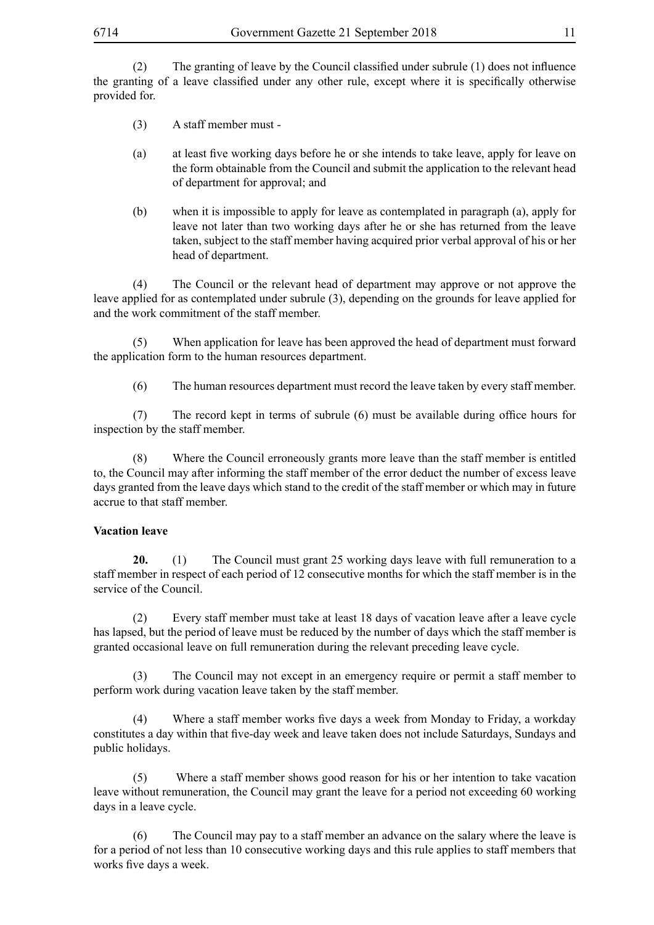(2) The granting of leave by the Council classified under subrule (1) does not influence the granting of a leave classified under any other rule, except where it is specifically otherwise provided for.

- (3) A staff member must -
- (a) at least five working days before he or she intends to take leave, apply for leave on the form obtainable from the Council and submit the application to the relevant head of department for approval; and
- (b) when it is impossible to apply for leave as contemplated in paragraph (a), apply for leave not later than two working days after he or she has returned from the leave taken, subject to the staff member having acquired prior verbal approval of his or her head of department.

(4) The Council or the relevant head of department may approve or not approve the leave applied for as contemplated under subrule (3), depending on the grounds for leave applied for and the work commitment of the staff member.

(5) When application for leave has been approved the head of department must forward the application form to the human resources department.

(6) The human resources department must record the leave taken by every staff member.

 (7) The record kept in terms of subrule (6) must be available during office hours for inspection by the staff member.

(8) Where the Council erroneously grants more leave than the staff member is entitled to, the Council may after informing the staff member of the error deduct the number of excess leave days granted from the leave days which stand to the credit of the staff member or which may in future accrue to that staff member.

#### **Vacation leave**

**20.** (1) The Council must grant 25 working days leave with full remuneration to a staff member in respect of each period of 12 consecutive months for which the staff member is in the service of the Council.

(2) Every staff member must take at least 18 days of vacation leave after a leave cycle has lapsed, but the period of leave must be reduced by the number of days which the staff member is granted occasional leave on full remuneration during the relevant preceding leave cycle.

(3) The Council may not except in an emergency require or permit a staff member to perform work during vacation leave taken by the staff member.

 (4) Where a staff member works five days a week from Monday to Friday, a workday constitutes a day within that five-day week and leave taken does not include Saturdays, Sundays and public holidays.

(5) Where a staff member shows good reason for his or her intention to take vacation leave without remuneration, the Council may grant the leave for a period not exceeding 60 working days in a leave cycle.

(6) The Council may pay to a staff member an advance on the salary where the leave is for a period of not less than 10 consecutive working days and this rule applies to staff members that works five days a week.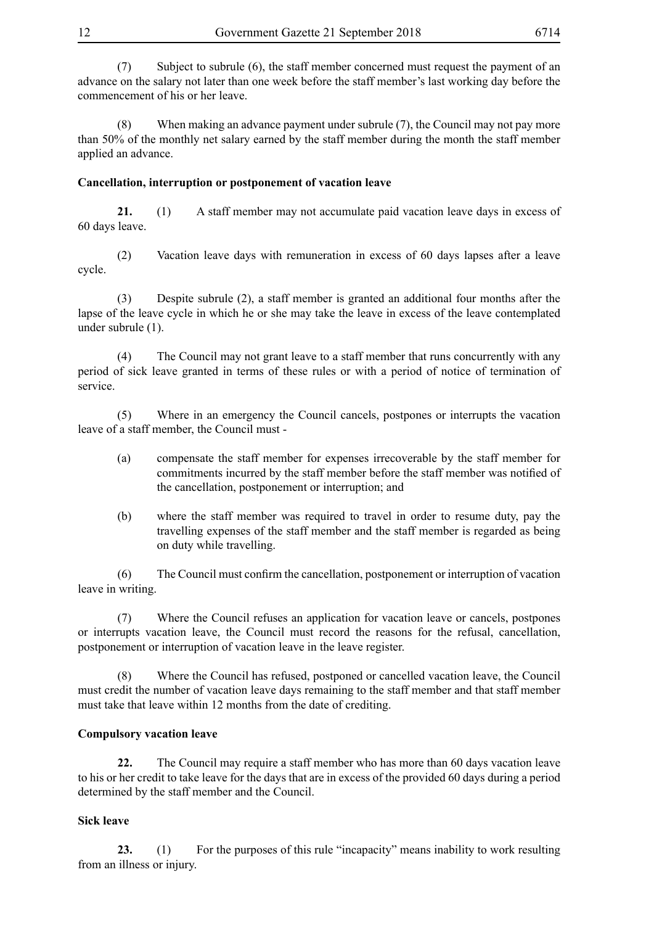(7) Subject to subrule (6), the staff member concerned must request the payment of an advance on the salary not later than one week before the staff member's last working day before the commencement of his or her leave.

(8) When making an advance payment under subrule (7), the Council may not pay more than 50% of the monthly net salary earned by the staff member during the month the staff member applied an advance.

# **Cancellation, interruption or postponement of vacation leave**

**21.** (1) A staff member may not accumulate paid vacation leave days in excess of 60 days leave.

(2) Vacation leave days with remuneration in excess of 60 days lapses after a leave cycle.

(3) Despite subrule (2), a staff member is granted an additional four months after the lapse of the leave cycle in which he or she may take the leave in excess of the leave contemplated under subrule (1).

(4) The Council may not grant leave to a staff member that runs concurrently with any period of sick leave granted in terms of these rules or with a period of notice of termination of service.

(5) Where in an emergency the Council cancels, postpones or interrupts the vacation leave of a staff member, the Council must -

- (a) compensate the staff member for expenses irrecoverable by the staff member for commitments incurred by the staff member before the staff member was notified of the cancellation, postponement or interruption; and
- (b) where the staff member was required to travel in order to resume duty, pay the travelling expenses of the staff member and the staff member is regarded as being on duty while travelling.

 (6) The Council must confirm the cancellation, postponement or interruption of vacation leave in writing.

(7) Where the Council refuses an application for vacation leave or cancels, postpones or interrupts vacation leave, the Council must record the reasons for the refusal, cancellation, postponement or interruption of vacation leave in the leave register.

(8) Where the Council has refused, postponed or cancelled vacation leave, the Council must credit the number of vacation leave days remaining to the staff member and that staff member must take that leave within 12 months from the date of crediting.

# **Compulsory vacation leave**

**22.** The Council may require a staff member who has more than 60 days vacation leave to his or her credit to take leave for the days that are in excess of the provided 60 days during a period determined by the staff member and the Council.

#### **Sick leave**

**23.** (1) For the purposes of this rule "incapacity" means inability to work resulting from an illness or injury.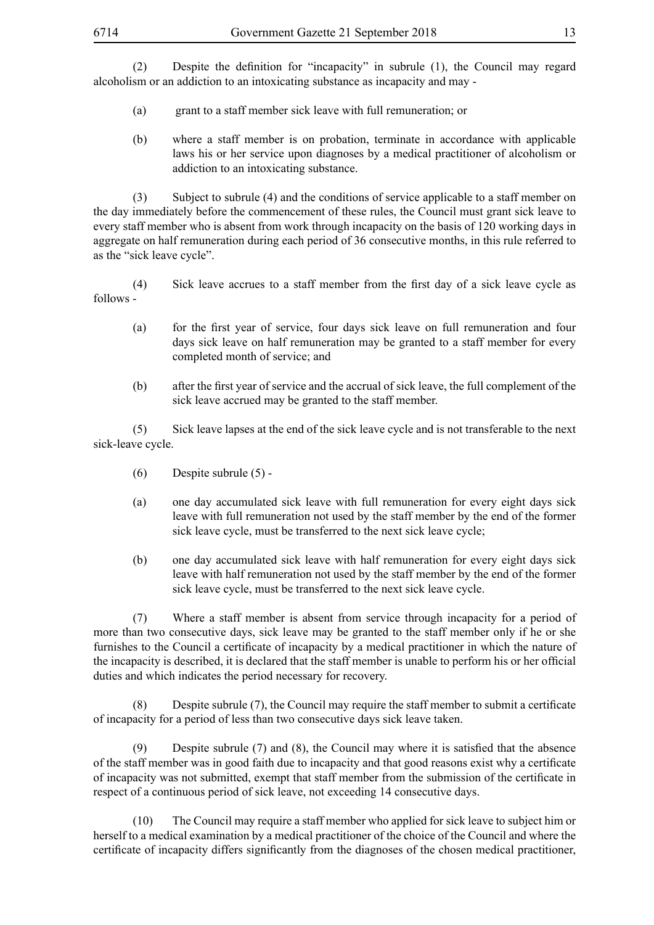(2) Despite the definition for "incapacity" in subrule (1), the Council may regard alcoholism or an addiction to an intoxicating substance as incapacity and may -

- (a) grant to a staff member sick leave with full remuneration; or
- (b) where a staff member is on probation, terminate in accordance with applicable laws his or her service upon diagnoses by a medical practitioner of alcoholism or addiction to an intoxicating substance.

(3) Subject to subrule (4) and the conditions of service applicable to a staff member on the day immediately before the commencement of these rules, the Council must grant sick leave to every staff member who is absent from work through incapacity on the basis of 120 working days in aggregate on half remuneration during each period of 36 consecutive months, in this rule referred to as the "sick leave cycle".

 (4) Sick leave accrues to a staff member from the first day of a sick leave cycle as follows -

- (a) for the first year of service, four days sick leave on full remuneration and four days sick leave on half remuneration may be granted to a staff member for every completed month of service; and
- (b) after the first year of service and the accrual of sick leave, the full complement of the sick leave accrued may be granted to the staff member.

(5) Sick leave lapses at the end of the sick leave cycle and is not transferable to the next sick-leave cycle.

- (6) Despite subrule (5) -
- (a) one day accumulated sick leave with full remuneration for every eight days sick leave with full remuneration not used by the staff member by the end of the former sick leave cycle, must be transferred to the next sick leave cycle;
- (b) one day accumulated sick leave with half remuneration for every eight days sick leave with half remuneration not used by the staff member by the end of the former sick leave cycle, must be transferred to the next sick leave cycle.

(7) Where a staff member is absent from service through incapacity for a period of more than two consecutive days, sick leave may be granted to the staff member only if he or she furnishes to the Council a certificate of incapacity by a medical practitioner in which the nature of the incapacity is described, it is declared that the staff member is unable to perform his or her official duties and which indicates the period necessary for recovery.

 (8) Despite subrule (7), the Council may require the staff member to submit a certificate of incapacity for a period of less than two consecutive days sick leave taken.

 (9) Despite subrule (7) and (8), the Council may where it is satisfied that the absence of the staff member was in good faith due to incapacity and that good reasons exist why a certificate of incapacity was not submitted, exempt that staff member from the submission of the certificate in respect of a continuous period of sick leave, not exceeding 14 consecutive days.

 (10) The Council may require a staff member who applied for sick leave to subject him or herself to a medical examination by a medical practitioner of the choice of the Council and where the certificate of incapacity differs significantly from the diagnoses of the chosen medical practitioner,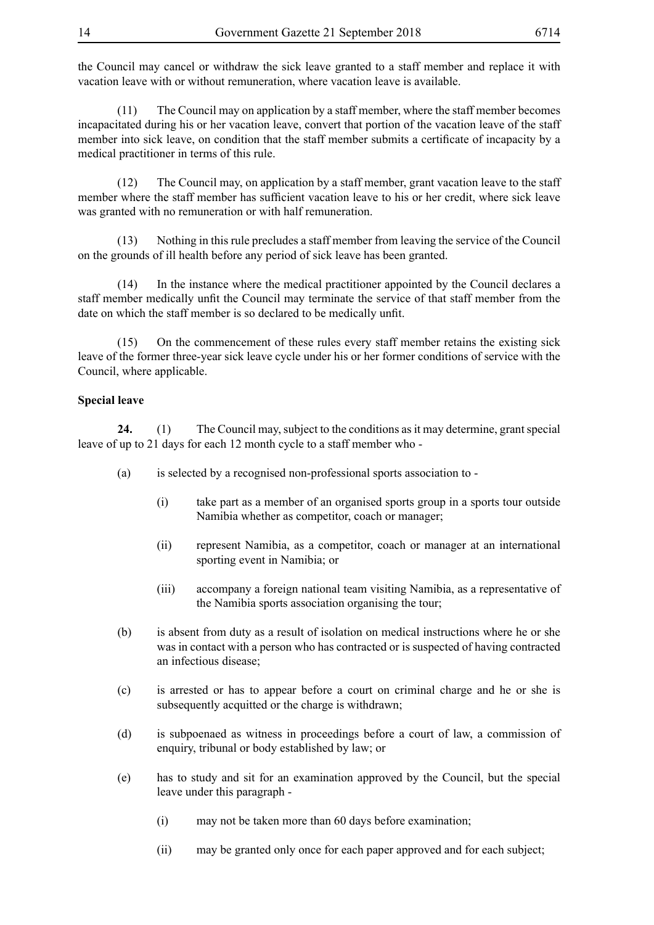the Council may cancel or withdraw the sick leave granted to a staff member and replace it with vacation leave with or without remuneration, where vacation leave is available.

(11) The Council may on application by a staff member, where the staff member becomes incapacitated during his or her vacation leave, convert that portion of the vacation leave of the staff member into sick leave, on condition that the staff member submits a certificate of incapacity by a medical practitioner in terms of this rule.

(12) The Council may, on application by a staff member, grant vacation leave to the staff member where the staff member has sufficient vacation leave to his or her credit, where sick leave was granted with no remuneration or with half remuneration.

(13) Nothing in this rule precludes a staff member from leaving the service of the Council on the grounds of ill health before any period of sick leave has been granted.

(14) In the instance where the medical practitioner appointed by the Council declares a staff member medically unfit the Council may terminate the service of that staff member from the date on which the staff member is so declared to be medically unfit.

(15) On the commencement of these rules every staff member retains the existing sick leave of the former three-year sick leave cycle under his or her former conditions of service with the Council, where applicable.

#### **Special leave**

**24.** (1) The Council may, subject to the conditions as it may determine, grant special leave of up to 21 days for each 12 month cycle to a staff member who -

- (a) is selected by a recognised non-professional sports association to
	- (i) take part as a member of an organised sports group in a sports tour outside Namibia whether as competitor, coach or manager;
	- (ii) represent Namibia, as a competitor, coach or manager at an international sporting event in Namibia; or
	- (iii) accompany a foreign national team visiting Namibia, as a representative of the Namibia sports association organising the tour;
- (b) is absent from duty as a result of isolation on medical instructions where he or she was in contact with a person who has contracted or is suspected of having contracted an infectious disease;
- (c) is arrested or has to appear before a court on criminal charge and he or she is subsequently acquitted or the charge is withdrawn;
- (d) is subpoenaed as witness in proceedings before a court of law, a commission of enquiry, tribunal or body established by law; or
- (e) has to study and sit for an examination approved by the Council, but the special leave under this paragraph -
	- (i) may not be taken more than 60 days before examination;
	- (ii) may be granted only once for each paper approved and for each subject;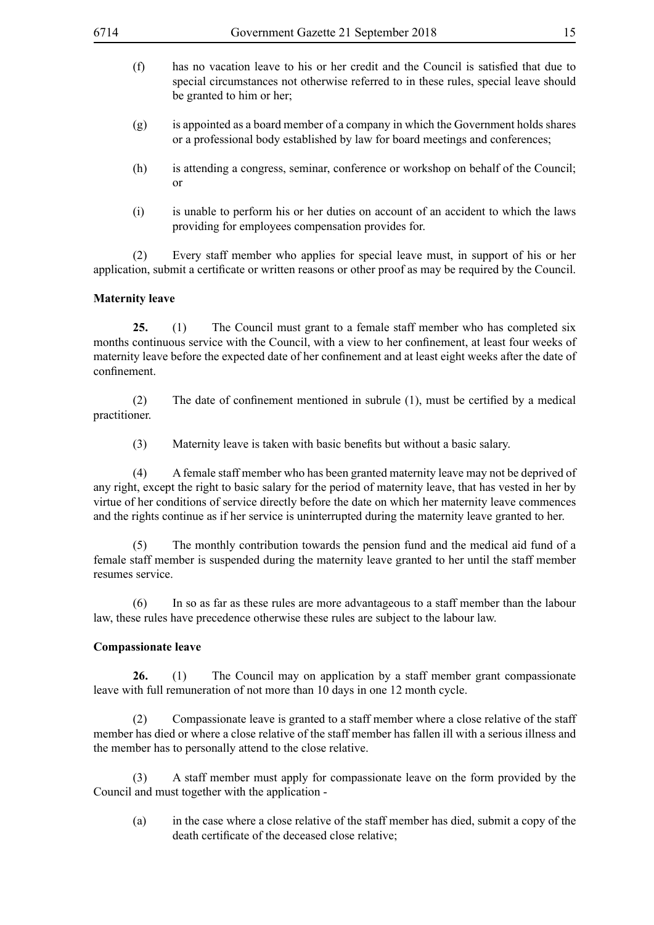- (f) has no vacation leave to his or her credit and the Council is satisfied that due to special circumstances not otherwise referred to in these rules, special leave should be granted to him or her;
- (g) is appointed as a board member of a company in which the Government holds shares or a professional body established by law for board meetings and conferences;
- (h) is attending a congress, seminar, conference or workshop on behalf of the Council; or
- (i) is unable to perform his or her duties on account of an accident to which the laws providing for employees compensation provides for.

(2) Every staff member who applies for special leave must, in support of his or her application, submit a certificate or written reasons or other proof as may be required by the Council.

#### **Maternity leave**

**25.** (1) The Council must grant to a female staff member who has completed six months continuous service with the Council, with a view to her confinement, at least four weeks of maternity leave before the expected date of her confinement and at least eight weeks after the date of confinement.

 (2) The date of confinement mentioned in subrule (1), must be certified by a medical practitioner.

(3) Maternity leave is taken with basic benefits but without a basic salary.

(4) A female staff member who has been granted maternity leave may not be deprived of any right, except the right to basic salary for the period of maternity leave, that has vested in her by virtue of her conditions of service directly before the date on which her maternity leave commences and the rights continue as if her service is uninterrupted during the maternity leave granted to her.

(5) The monthly contribution towards the pension fund and the medical aid fund of a female staff member is suspended during the maternity leave granted to her until the staff member resumes service.

(6) In so as far as these rules are more advantageous to a staff member than the labour law, these rules have precedence otherwise these rules are subject to the labour law.

#### **Compassionate leave**

**26.** (1) The Council may on application by a staff member grant compassionate leave with full remuneration of not more than 10 days in one 12 month cycle.

(2) Compassionate leave is granted to a staff member where a close relative of the staff member has died or where a close relative of the staff member has fallen ill with a serious illness and the member has to personally attend to the close relative.

(3) A staff member must apply for compassionate leave on the form provided by the Council and must together with the application -

(a) in the case where a close relative of the staff member has died, submit a copy of the death certificate of the deceased close relative;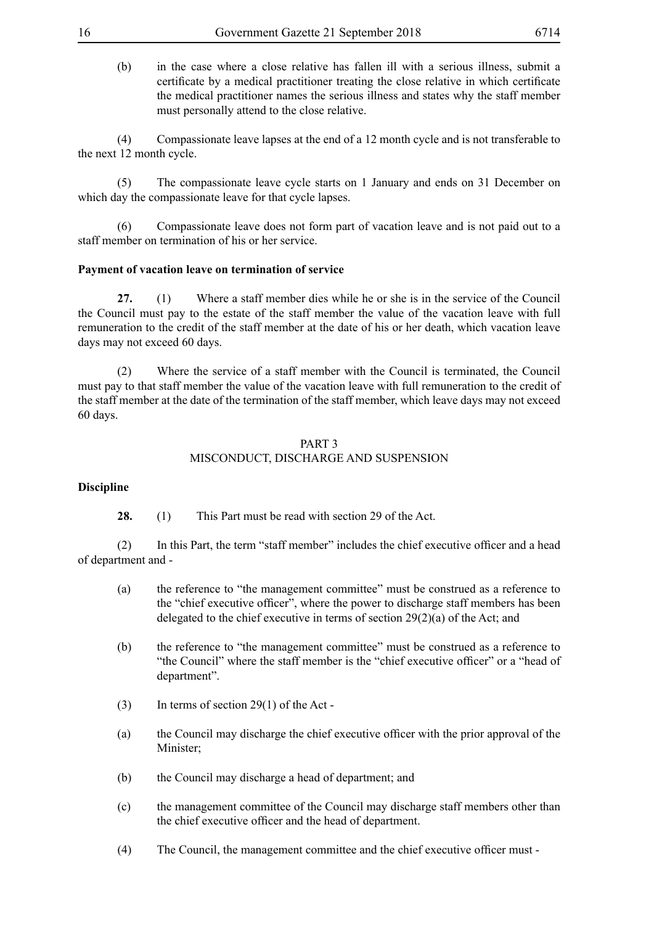(b) in the case where a close relative has fallen ill with a serious illness, submit a certificate by a medical practitioner treating the close relative in which certificate the medical practitioner names the serious illness and states why the staff member must personally attend to the close relative.

(4) Compassionate leave lapses at the end of a 12 month cycle and is not transferable to the next 12 month cycle.

(5) The compassionate leave cycle starts on 1 January and ends on 31 December on which day the compassionate leave for that cycle lapses.

(6) Compassionate leave does not form part of vacation leave and is not paid out to a staff member on termination of his or her service.

#### **Payment of vacation leave on termination of service**

**27.** (1) Where a staff member dies while he or she is in the service of the Council the Council must pay to the estate of the staff member the value of the vacation leave with full remuneration to the credit of the staff member at the date of his or her death, which vacation leave days may not exceed 60 days.

(2) Where the service of a staff member with the Council is terminated, the Council must pay to that staff member the value of the vacation leave with full remuneration to the credit of the staff member at the date of the termination of the staff member, which leave days may not exceed 60 days.

#### PART 3 MISCONDUCT, DISCHARGE AND SUSPENSION

#### **Discipline**

**28.** (1) This Part must be read with section 29 of the Act.

 (2) In this Part, the term "staff member" includes the chief executive officer and a head of department and -

- (a) the reference to "the management committee" must be construed as a reference to the "chief executive officer", where the power to discharge staff members has been delegated to the chief executive in terms of section 29(2)(a) of the Act; and
- (b) the reference to "the management committee" must be construed as a reference to "the Council" where the staff member is the "chief executive officer" or a "head of department".
- (3) In terms of section 29(1) of the Act -
- (a) the Council may discharge the chief executive officer with the prior approval of the Minister;
- (b) the Council may discharge a head of department; and
- (c) the management committee of the Council may discharge staff members other than the chief executive officer and the head of department.
- (4) The Council, the management committee and the chief executive officer must -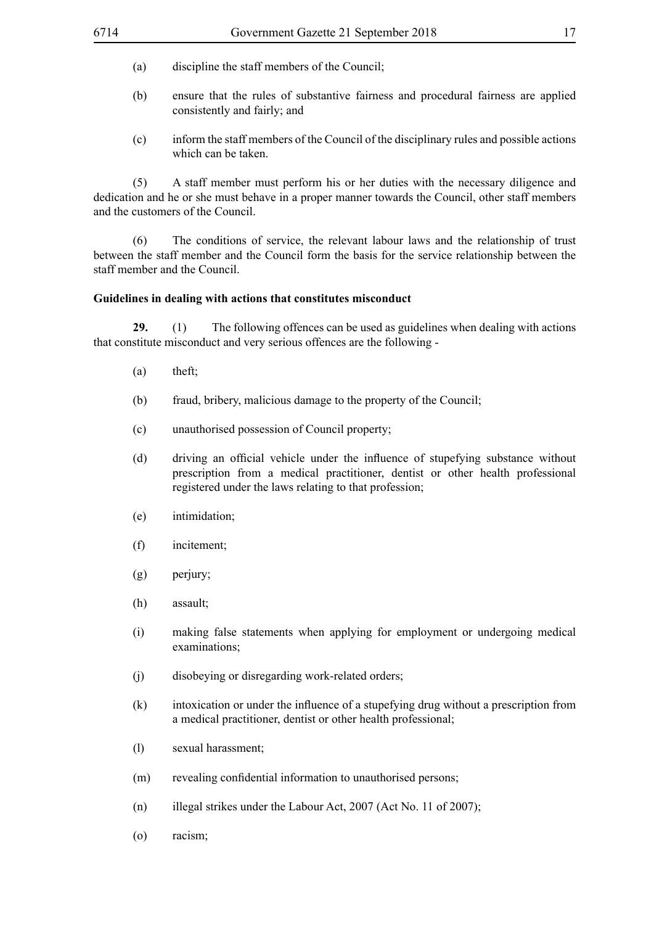- (a) discipline the staff members of the Council;
- (b) ensure that the rules of substantive fairness and procedural fairness are applied consistently and fairly; and
- (c) inform the staff members of the Council of the disciplinary rules and possible actions which can be taken.

(5) A staff member must perform his or her duties with the necessary diligence and dedication and he or she must behave in a proper manner towards the Council, other staff members and the customers of the Council.

(6) The conditions of service, the relevant labour laws and the relationship of trust between the staff member and the Council form the basis for the service relationship between the staff member and the Council.

#### **Guidelines in dealing with actions that constitutes misconduct**

**29.** (1) The following offences can be used as guidelines when dealing with actions that constitute misconduct and very serious offences are the following -

- $(a)$  theft;
- (b) fraud, bribery, malicious damage to the property of the Council;
- (c) unauthorised possession of Council property;
- (d) driving an official vehicle under the influence of stupefying substance without prescription from a medical practitioner, dentist or other health professional registered under the laws relating to that profession;
- (e) intimidation;
- (f) incitement;
- $(g)$  perjury;
- (h) assault;
- (i) making false statements when applying for employment or undergoing medical examinations;
- (i) disobeying or disregarding work-related orders;
- (k) intoxication or under the influence of a stupefying drug without a prescription from a medical practitioner, dentist or other health professional;
- (l) sexual harassment;
- (m) revealing confidential information to unauthorised persons;
- (n) illegal strikes under the Labour Act, 2007 (Act No. 11 of 2007);
- (o) racism;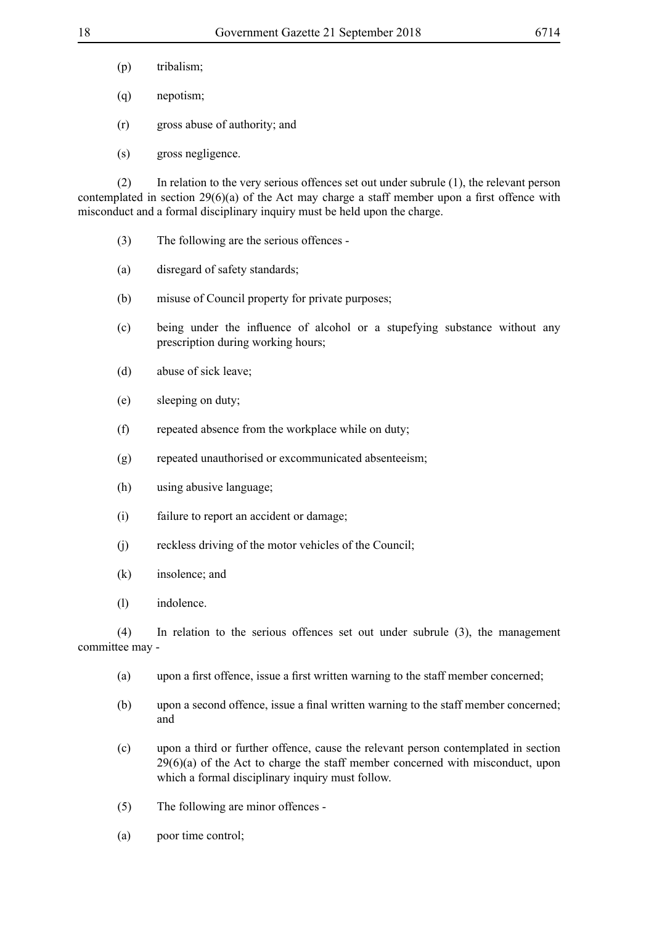- (p) tribalism;
- (q) nepotism;
- (r) gross abuse of authority; and
- (s) gross negligence.

(2) In relation to the very serious offences set out under subrule (1), the relevant person contemplated in section 29(6)(a) of the Act may charge a staff member upon a first offence with misconduct and a formal disciplinary inquiry must be held upon the charge.

- (3) The following are the serious offences -
- (a) disregard of safety standards;
- (b) misuse of Council property for private purposes;
- (c) being under the influence of alcohol or a stupefying substance without any prescription during working hours;
- (d) abuse of sick leave;
- (e) sleeping on duty;
- (f) repeated absence from the workplace while on duty;
- (g) repeated unauthorised or excommunicated absenteeism;
- (h) using abusive language;
- (i) failure to report an accident or damage;
- (i) reckless driving of the motor vehicles of the Council;
- (k) insolence; and
- (l) indolence.

(4) In relation to the serious offences set out under subrule (3), the management committee may -

- (a) upon a first offence, issue a first written warning to the staff member concerned;
- (b) upon a second offence, issue a final written warning to the staff member concerned; and
- (c) upon a third or further offence, cause the relevant person contemplated in section  $29(6)(a)$  of the Act to charge the staff member concerned with misconduct, upon which a formal disciplinary inquiry must follow.
- (5) The following are minor offences -
- (a) poor time control;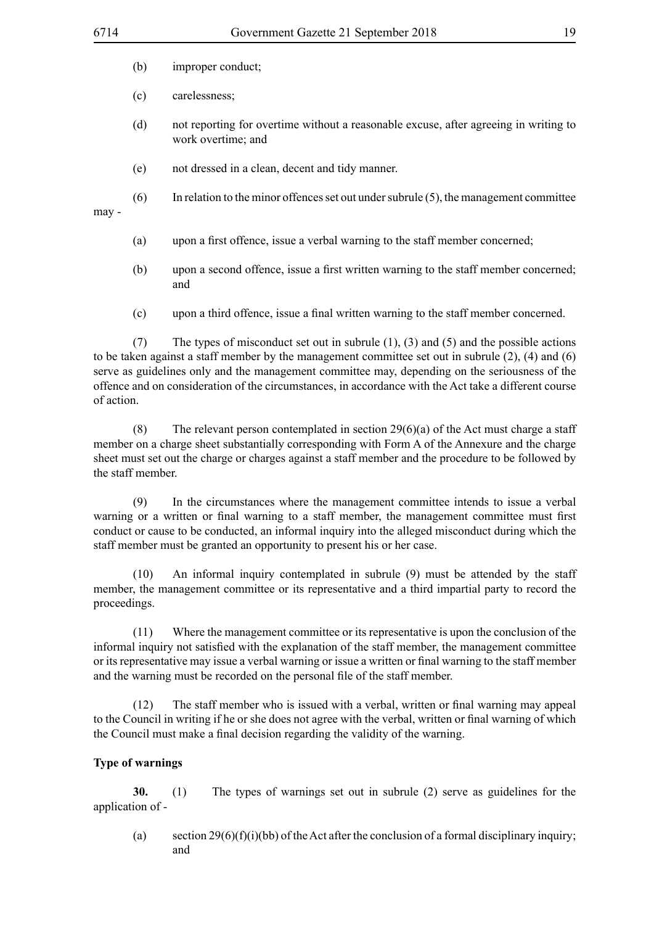- (b) improper conduct;
- (c) carelessness;
- (d) not reporting for overtime without a reasonable excuse, after agreeing in writing to work overtime; and
- (e) not dressed in a clean, decent and tidy manner.
- (6) In relation to the minor offences set out under subrule (5), the management committee may -
	- (a) upon a first offence, issue a verbal warning to the staff member concerned;
	- (b) upon a second offence, issue a first written warning to the staff member concerned; and
	- (c) upon a third offence, issue a final written warning to the staff member concerned.

(7) The types of misconduct set out in subrule (1), (3) and (5) and the possible actions to be taken against a staff member by the management committee set out in subrule (2), (4) and (6) serve as guidelines only and the management committee may, depending on the seriousness of the offence and on consideration of the circumstances, in accordance with the Act take a different course of action.

(8) The relevant person contemplated in section  $29(6)(a)$  of the Act must charge a staff member on a charge sheet substantially corresponding with Form A of the Annexure and the charge sheet must set out the charge or charges against a staff member and the procedure to be followed by the staff member.

(9) In the circumstances where the management committee intends to issue a verbal warning or a written or final warning to a staff member, the management committee must first conduct or cause to be conducted, an informal inquiry into the alleged misconduct during which the staff member must be granted an opportunity to present his or her case.

(10) An informal inquiry contemplated in subrule (9) must be attended by the staff member, the management committee or its representative and a third impartial party to record the proceedings.

(11) Where the management committee or its representative is upon the conclusion of the informal inquiry not satisfied with the explanation of the staff member, the management committee or its representative may issue a verbal warning or issue a written or final warning to the staff member and the warning must be recorded on the personal file of the staff member.

 (12) The staff member who is issued with a verbal, written or final warning may appeal to the Council in writing if he or she does not agree with the verbal, written or final warning of which the Council must make a final decision regarding the validity of the warning.

# **Type of warnings**

**30.** (1) The types of warnings set out in subrule (2) serve as guidelines for the application of -

(a) section  $29(6)(f)(i)(bb)$  of the Act after the conclusion of a formal disciplinary inquiry; and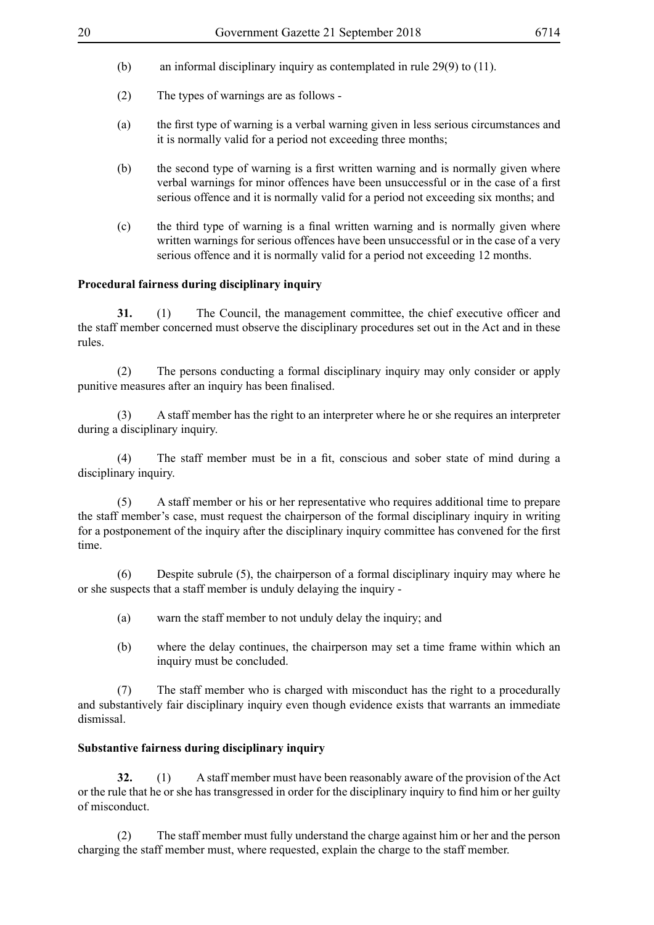- 
- (b) an informal disciplinary inquiry as contemplated in rule 29(9) to (11).
- (2) The types of warnings are as follows -
- (a) the first type of warning is a verbal warning given in less serious circumstances and it is normally valid for a period not exceeding three months;
- (b) the second type of warning is a first written warning and is normally given where verbal warnings for minor offences have been unsuccessful or in the case of a first serious offence and it is normally valid for a period not exceeding six months; and
- (c) the third type of warning is a final written warning and is normally given where written warnings for serious offences have been unsuccessful or in the case of a very serious offence and it is normally valid for a period not exceeding 12 months.

# **Procedural fairness during disciplinary inquiry**

**31.** (1) The Council, the management committee, the chief executive officer and the staff member concerned must observe the disciplinary procedures set out in the Act and in these rules.

(2) The persons conducting a formal disciplinary inquiry may only consider or apply punitive measures after an inquiry has been finalised.

(3) A staff member has the right to an interpreter where he or she requires an interpreter during a disciplinary inquiry.

 (4) The staff member must be in a fit, conscious and sober state of mind during a disciplinary inquiry.

(5) A staff member or his or her representative who requires additional time to prepare the staff member's case, must request the chairperson of the formal disciplinary inquiry in writing for a postponement of the inquiry after the disciplinary inquiry committee has convened for the first time.

(6) Despite subrule (5), the chairperson of a formal disciplinary inquiry may where he or she suspects that a staff member is unduly delaying the inquiry -

- (a) warn the staff member to not unduly delay the inquiry; and
- (b) where the delay continues, the chairperson may set a time frame within which an inquiry must be concluded.

(7) The staff member who is charged with misconduct has the right to a procedurally and substantively fair disciplinary inquiry even though evidence exists that warrants an immediate dismissal.

#### **Substantive fairness during disciplinary inquiry**

**32.** (1) A staff member must have been reasonably aware of the provision of the Act or the rule that he or she has transgressed in order for the disciplinary inquiry to find him or her guilty of misconduct.

(2) The staff member must fully understand the charge against him or her and the person charging the staff member must, where requested, explain the charge to the staff member.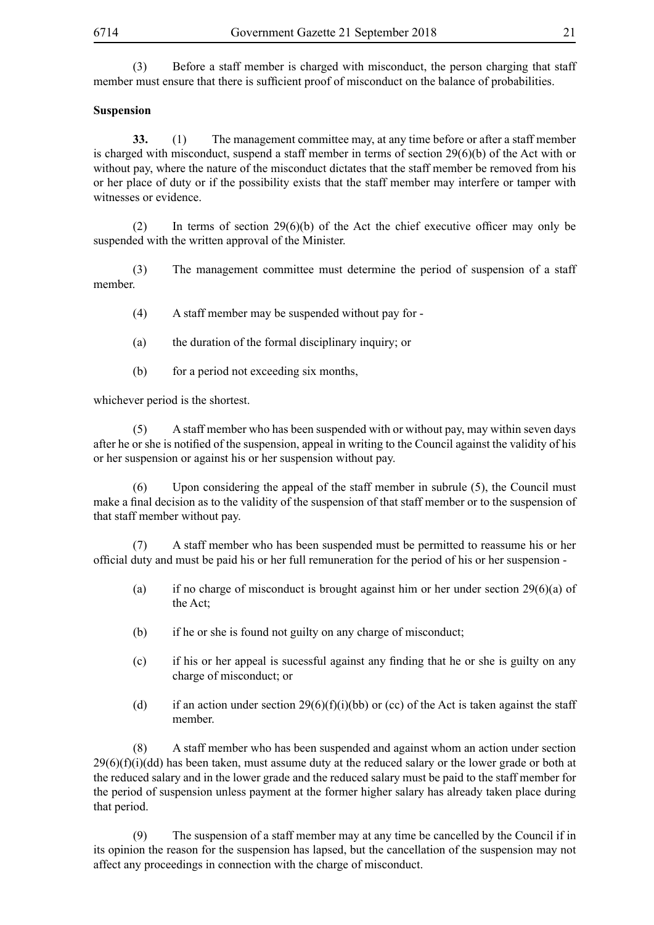(3) Before a staff member is charged with misconduct, the person charging that staff member must ensure that there is sufficient proof of misconduct on the balance of probabilities.

#### **Suspension**

**33.** (1) The management committee may, at any time before or after a staff member is charged with misconduct, suspend a staff member in terms of section 29(6)(b) of the Act with or without pay, where the nature of the misconduct dictates that the staff member be removed from his or her place of duty or if the possibility exists that the staff member may interfere or tamper with witnesses or evidence.

(2) In terms of section  $29(6)(b)$  of the Act the chief executive officer may only be suspended with the written approval of the Minister.

(3) The management committee must determine the period of suspension of a staff member.

(4) A staff member may be suspended without pay for -

- (a) the duration of the formal disciplinary inquiry; or
- (b) for a period not exceeding six months,

whichever period is the shortest.

(5) A staff member who has been suspended with or without pay, may within seven days after he or she is notified of the suspension, appeal in writing to the Council against the validity of his or her suspension or against his or her suspension without pay.

(6) Upon considering the appeal of the staff member in subrule (5), the Council must make a final decision as to the validity of the suspension of that staff member or to the suspension of that staff member without pay.

(7) A staff member who has been suspended must be permitted to reassume his or her official duty and must be paid his or her full remuneration for the period of his or her suspension -

- (a) if no charge of misconduct is brought against him or her under section 29(6)(a) of the Act;
- (b) if he or she is found not guilty on any charge of misconduct;
- (c) if his or her appeal is sucessful against any finding that he or she is guilty on any charge of misconduct; or
- (d) if an action under section 29(6)(f)(i)(bb) or (cc) of the Act is taken against the staff member.

(8) A staff member who has been suspended and against whom an action under section  $29(6)(f)(i)(dd)$  has been taken, must assume duty at the reduced salary or the lower grade or both at the reduced salary and in the lower grade and the reduced salary must be paid to the staff member for the period of suspension unless payment at the former higher salary has already taken place during that period.

(9) The suspension of a staff member may at any time be cancelled by the Council if in its opinion the reason for the suspension has lapsed, but the cancellation of the suspension may not affect any proceedings in connection with the charge of misconduct.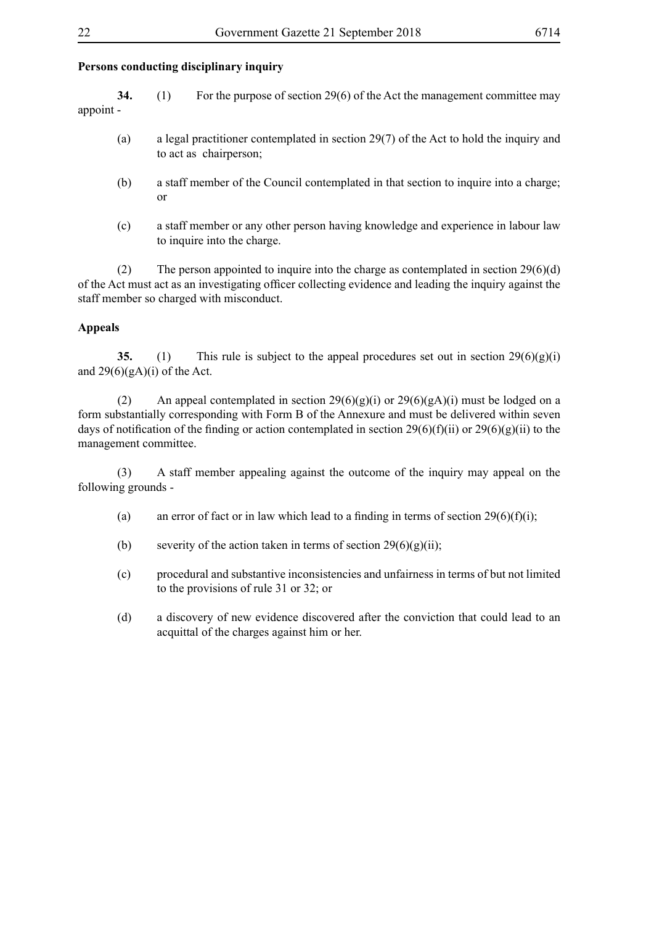# **Persons conducting disciplinary inquiry**

- **34.** (1) For the purpose of section 29(6) of the Act the management committee may appoint -
	- (a) a legal practitioner contemplated in section 29(7) of the Act to hold the inquiry and to act as chairperson;
	- (b) a staff member of the Council contemplated in that section to inquire into a charge; or
	- (c) a staff member or any other person having knowledge and experience in labour law to inquire into the charge.

(2) The person appointed to inquire into the charge as contemplated in section  $29(6)(d)$ of the Act must act as an investigating officer collecting evidence and leading the inquiry against the staff member so charged with misconduct.

#### **Appeals**

**35.** (1) This rule is subject to the appeal procedures set out in section  $29(6)(g)(i)$ and  $29(6)(gA)(i)$  of the Act.

(2) An appeal contemplated in section  $29(6)(g)(i)$  or  $29(6)(g)(i)$  must be lodged on a form substantially corresponding with Form B of the Annexure and must be delivered within seven days of notification of the finding or action contemplated in section 29(6)(f)(ii) or 29(6)(g)(ii) to the management committee.

(3) A staff member appealing against the outcome of the inquiry may appeal on the following grounds -

- (a) an error of fact or in law which lead to a finding in terms of section  $29(6)(f)(i)$ ;
- (b) severity of the action taken in terms of section  $29(6)(g)(ii)$ ;
- (c) procedural and substantive inconsistencies and unfairness in terms of but not limited to the provisions of rule 31 or 32; or
- (d) a discovery of new evidence discovered after the conviction that could lead to an acquittal of the charges against him or her.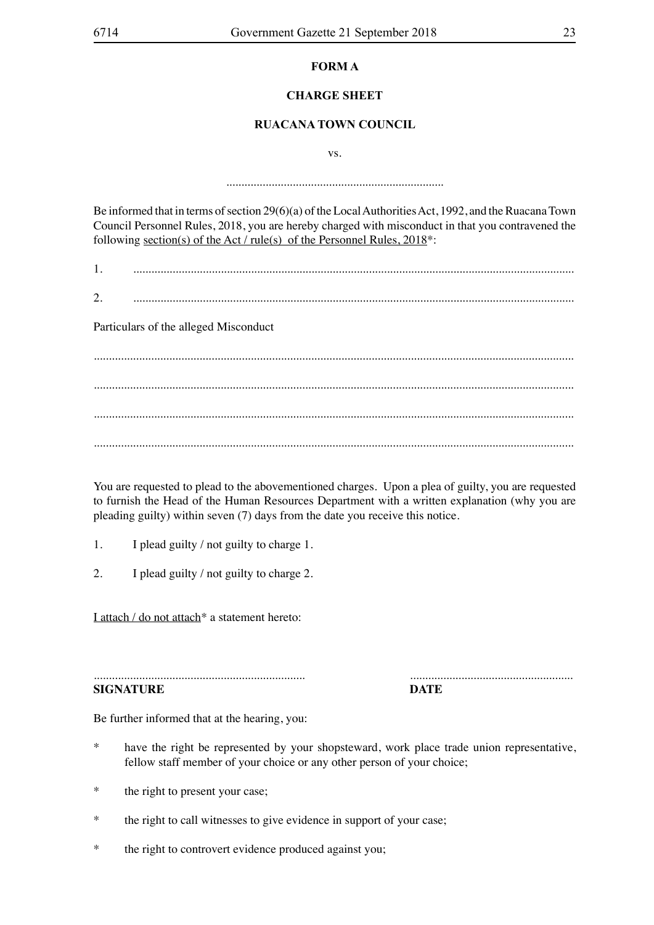# **FORM A**

# **CHARGE SHEET**

# **RUACANA TOWN COUNCIL**

vs.

........................................................................

Be informed that in terms of section 29(6)(a) of the Local Authorities Act, 1992, and the Ruacana Town Council Personnel Rules, 2018, you are hereby charged with misconduct in that you contravened the following section(s) of the Act / rule(s) of the Personnel Rules, 2018\*:

1. ..................................................................................................................................................

2. ..................................................................................................................................................

Particulars of the alleged Misconduct

............................................................................................................................................................... ............................................................................................................................................................... ............................................................................................................................................................... ...............................................................................................................................................................

You are requested to plead to the abovementioned charges. Upon a plea of guilty, you are requested to furnish the Head of the Human Resources Department with a written explanation (why you are pleading guilty) within seven (7) days from the date you receive this notice.

- 1. I plead guilty / not guilty to charge 1.
- 2. I plead guilty / not guilty to charge 2.

I attach / do not attach\* a statement hereto:

...................................................................... ...................................................... **SIGNATURE DATE**

Be further informed that at the hearing, you:

- have the right be represented by your shopsteward, work place trade union representative, fellow staff member of your choice or any other person of your choice;
- \* the right to present your case;
- \* the right to call witnesses to give evidence in support of your case;
- \* the right to controvert evidence produced against you;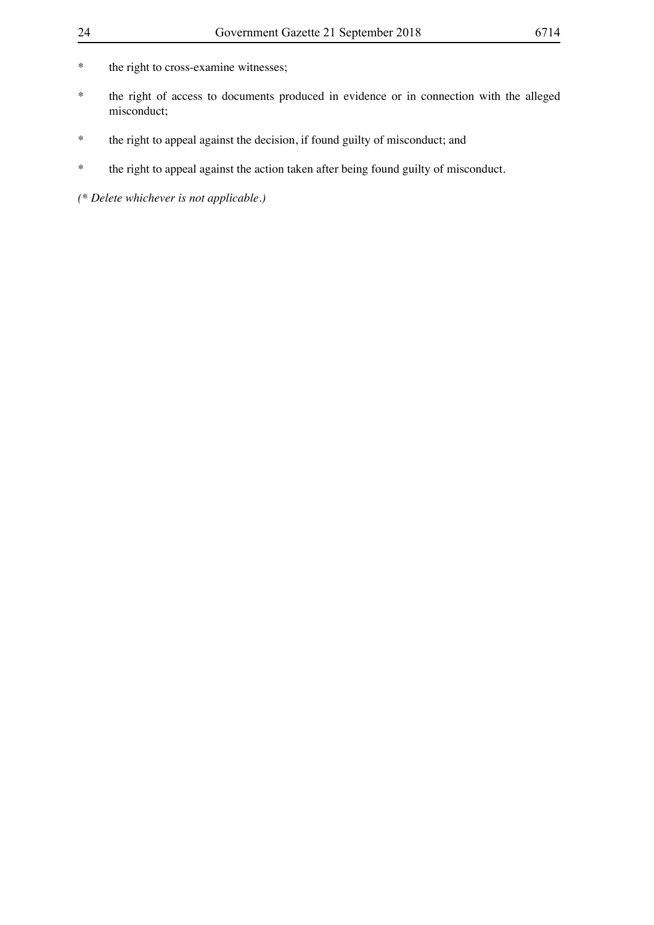- \* the right to cross-examine witnesses;
- \* the right of access to documents produced in evidence or in connection with the alleged misconduct;
- \* the right to appeal against the decision, if found guilty of misconduct; and
- \* the right to appeal against the action taken after being found guilty of misconduct.

*(\* Delete whichever is not applicable.)*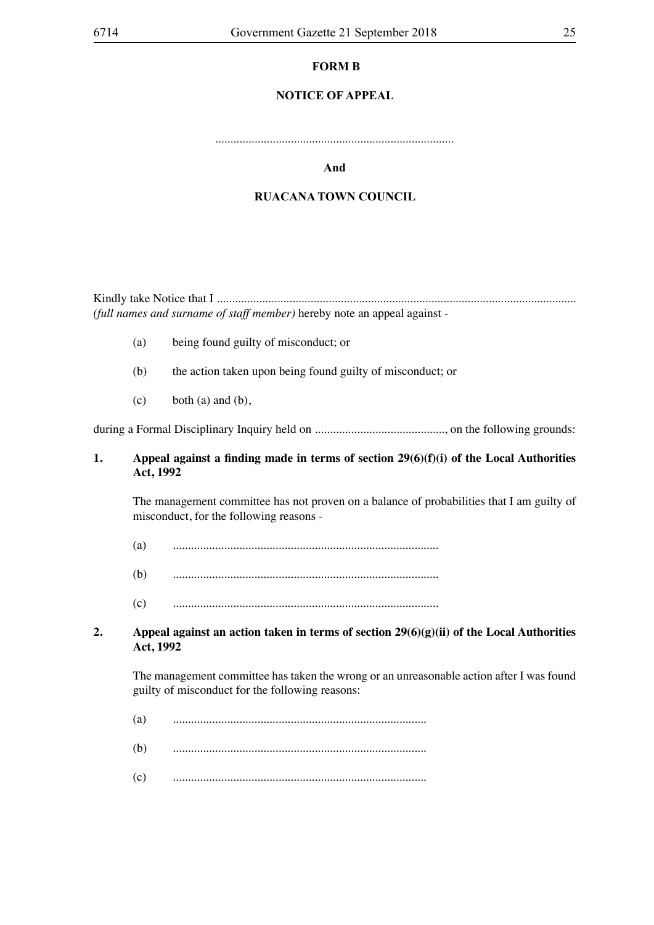# **FORM B**

# **NOTICE OF APPEAL**

...............................................................................

#### **And**

#### **RUACANA TOWN COUNCIL**

Kindly take Notice that I ....................................................................................................................... *(full names and surname of staff member)* hereby note an appeal against -

- (a) being found guilty of misconduct; or
- (b) the action taken upon being found guilty of misconduct; or
- $(c)$  both  $(a)$  and  $(b)$ ,

during a Formal Disciplinary Inquiry held on ..........................................., on the following grounds:

# **1. Appeal against a finding made in terms of section 29(6)(f)(i) of the Local Authorities Act, 1992**

 The management committee has not proven on a balance of probabilities that I am guilty of misconduct, for the following reasons -

- (a) ........................................................................................
- (b) ........................................................................................
- (c) ........................................................................................

# **2. Appeal against an action taken in terms of section 29(6)(g)(ii) of the Local Authorities Act, 1992**

 The management committee has taken the wrong or an unreasonable action after I was found guilty of misconduct for the following reasons:

- (a) ....................................................................................
- (b) ....................................................................................
- (c) ....................................................................................